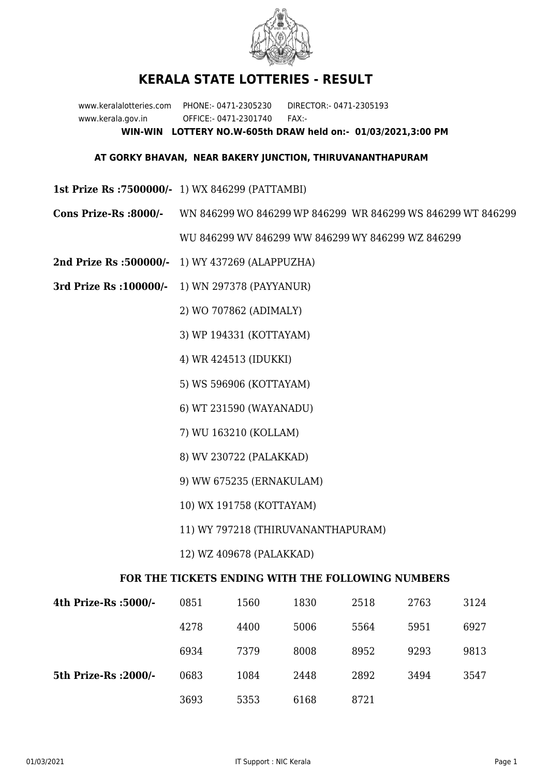

## **KERALA STATE LOTTERIES - RESULT**

www.keralalotteries.com PHONE:- 0471-2305230 DIRECTOR:- 0471-2305193 www.kerala.gov.in OFFICE:- 0471-2301740 FAX:- **WIN-WIN LOTTERY NO.W-605th DRAW held on:- 01/03/2021,3:00 PM**

## **AT GORKY BHAVAN, NEAR BAKERY JUNCTION, THIRUVANANTHAPURAM**

- **1st Prize Rs :7500000/-** 1) WX 846299 (PATTAMBI)
- **Cons Prize-Rs :8000/-** WN 846299 WO 846299 WP 846299 WR 846299 WS 846299 WT 846299

WU 846299 WV 846299 WW 846299 WY 846299 WZ 846299

- **2nd Prize Rs :500000/-** 1) WY 437269 (ALAPPUZHA)
- **3rd Prize Rs :100000/-** 1) WN 297378 (PAYYANUR)

2) WO 707862 (ADIMALY)

- 3) WP 194331 (KOTTAYAM)
- 4) WR 424513 (IDUKKI)
- 5) WS 596906 (KOTTAYAM)
- 6) WT 231590 (WAYANADU)
- 7) WU 163210 (KOLLAM)
- 8) WV 230722 (PALAKKAD)
- 9) WW 675235 (ERNAKULAM)
- 10) WX 191758 (KOTTAYAM)
- 11) WY 797218 (THIRUVANANTHAPURAM)
- 12) WZ 409678 (PALAKKAD)

## **FOR THE TICKETS ENDING WITH THE FOLLOWING NUMBERS**

| 4th Prize-Rs :5000/-  | 0851 | 1560 | 1830 | 2518 | 2763 | 3124 |
|-----------------------|------|------|------|------|------|------|
|                       | 4278 | 4400 | 5006 | 5564 | 5951 | 6927 |
|                       | 6934 | 7379 | 8008 | 8952 | 9293 | 9813 |
| 5th Prize-Rs : 2000/- | 0683 | 1084 | 2448 | 2892 | 3494 | 3547 |
|                       | 3693 | 5353 | 6168 | 8721 |      |      |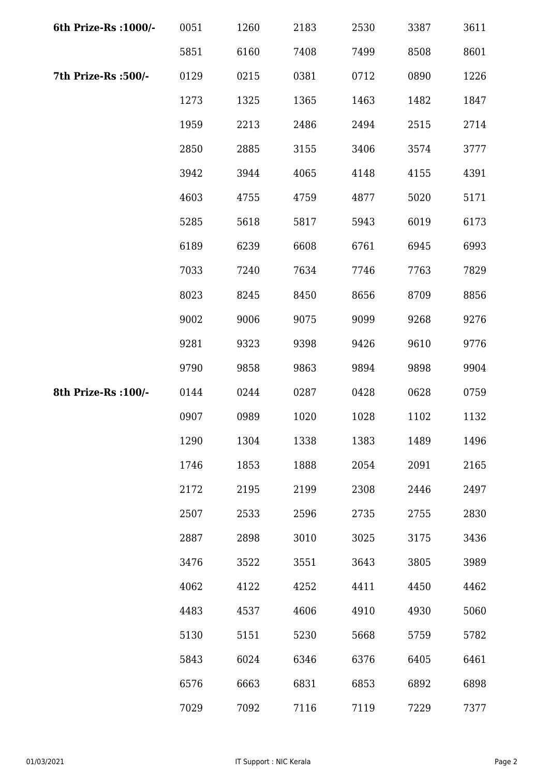| 6th Prize-Rs : 1000/- | 0051 | 1260 | 2183 | 2530 | 3387 | 3611 |
|-----------------------|------|------|------|------|------|------|
|                       | 5851 | 6160 | 7408 | 7499 | 8508 | 8601 |
| 7th Prize-Rs :500/-   | 0129 | 0215 | 0381 | 0712 | 0890 | 1226 |
|                       | 1273 | 1325 | 1365 | 1463 | 1482 | 1847 |
|                       | 1959 | 2213 | 2486 | 2494 | 2515 | 2714 |
|                       | 2850 | 2885 | 3155 | 3406 | 3574 | 3777 |
|                       | 3942 | 3944 | 4065 | 4148 | 4155 | 4391 |
|                       | 4603 | 4755 | 4759 | 4877 | 5020 | 5171 |
|                       | 5285 | 5618 | 5817 | 5943 | 6019 | 6173 |
|                       | 6189 | 6239 | 6608 | 6761 | 6945 | 6993 |
|                       | 7033 | 7240 | 7634 | 7746 | 7763 | 7829 |
|                       | 8023 | 8245 | 8450 | 8656 | 8709 | 8856 |
|                       | 9002 | 9006 | 9075 | 9099 | 9268 | 9276 |
|                       | 9281 | 9323 | 9398 | 9426 | 9610 | 9776 |
|                       | 9790 | 9858 | 9863 | 9894 | 9898 | 9904 |
| 8th Prize-Rs : 100/-  | 0144 | 0244 | 0287 | 0428 | 0628 | 0759 |
|                       | 0907 | 0989 | 1020 | 1028 | 1102 | 1132 |
|                       | 1290 | 1304 | 1338 | 1383 | 1489 | 1496 |
|                       | 1746 | 1853 | 1888 | 2054 | 2091 | 2165 |
|                       | 2172 | 2195 | 2199 | 2308 | 2446 | 2497 |
|                       | 2507 | 2533 | 2596 | 2735 | 2755 | 2830 |
|                       | 2887 | 2898 | 3010 | 3025 | 3175 | 3436 |
|                       | 3476 | 3522 | 3551 | 3643 | 3805 | 3989 |
|                       | 4062 | 4122 | 4252 | 4411 | 4450 | 4462 |
|                       | 4483 | 4537 | 4606 | 4910 | 4930 | 5060 |
|                       | 5130 | 5151 | 5230 | 5668 | 5759 | 5782 |
|                       | 5843 | 6024 | 6346 | 6376 | 6405 | 6461 |
|                       | 6576 | 6663 | 6831 | 6853 | 6892 | 6898 |
|                       | 7029 | 7092 | 7116 | 7119 | 7229 | 7377 |